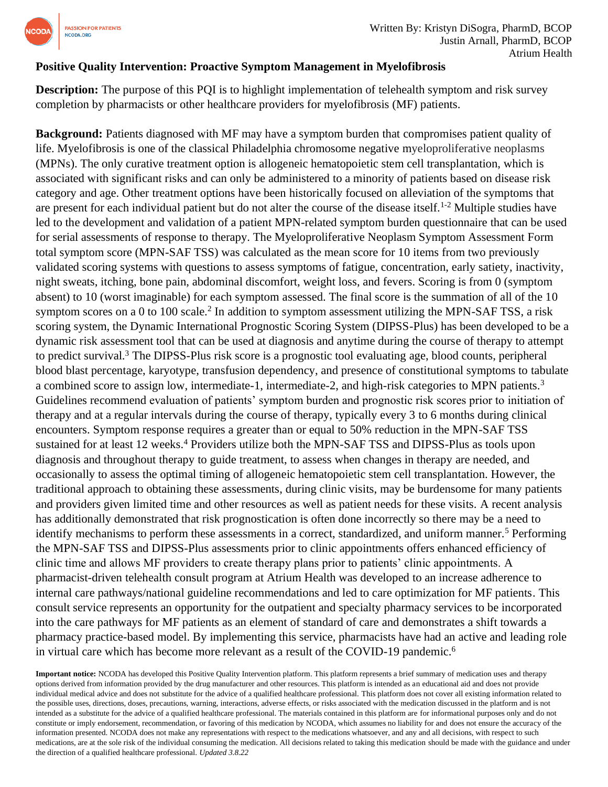

## **Positive Quality Intervention: Proactive Symptom Management in Myelofibrosis**

**Description:** The purpose of this POI is to highlight implementation of telehealth symptom and risk survey completion by pharmacists or other healthcare providers for myelofibrosis (MF) patients.

**Background:** Patients diagnosed with MF may have a symptom burden that compromises patient quality of life. Myelofibrosis is one of the classical Philadelphia chromosome negative myeloproliferative neoplasms (MPNs). The only curative treatment option is allogeneic hematopoietic stem cell transplantation, which is associated with significant risks and can only be administered to a minority of patients based on disease risk category and age. Other treatment options have been historically focused on alleviation of the symptoms that are present for each individual patient but do not alter the course of the disease itself.1-2 Multiple studies have led to the development and validation of a patient MPN-related symptom burden questionnaire that can be used for serial assessments of response to therapy. The Myeloproliferative Neoplasm Symptom Assessment Form total symptom score (MPN-SAF TSS) was calculated as the mean score for 10 items from two previously validated scoring systems with questions to assess symptoms of fatigue, concentration, early satiety, inactivity, night sweats, itching, bone pain, abdominal discomfort, weight loss, and fevers. Scoring is from 0 (symptom absent) to 10 (worst imaginable) for each symptom assessed. The final score is the summation of all of the 10 symptom scores on a 0 to 100 scale.<sup>2</sup> In addition to symptom assessment utilizing the MPN-SAF TSS, a risk scoring system, the Dynamic International Prognostic Scoring System (DIPSS-Plus) has been developed to be a dynamic risk assessment tool that can be used at diagnosis and anytime during the course of therapy to attempt to predict survival.<sup>3</sup> The DIPSS-Plus risk score is a prognostic tool evaluating age, blood counts, peripheral blood blast percentage, karyotype, transfusion dependency, and presence of constitutional symptoms to tabulate a combined score to assign low, intermediate-1, intermediate-2, and high-risk categories to MPN patients.<sup>3</sup> Guidelines recommend evaluation of patients' symptom burden and prognostic risk scores prior to initiation of therapy and at a regular intervals during the course of therapy, typically every 3 to 6 months during clinical encounters. Symptom response requires a greater than or equal to 50% reduction in the MPN-SAF TSS sustained for at least 12 weeks.<sup>4</sup> Providers utilize both the MPN-SAF TSS and DIPSS-Plus as tools upon diagnosis and throughout therapy to guide treatment, to assess when changes in therapy are needed, and occasionally to assess the optimal timing of allogeneic hematopoietic stem cell transplantation. However, the traditional approach to obtaining these assessments, during clinic visits, may be burdensome for many patients and providers given limited time and other resources as well as patient needs for these visits. A recent analysis has additionally demonstrated that risk prognostication is often done incorrectly so there may be a need to identify mechanisms to perform these assessments in a correct, standardized, and uniform manner.<sup>5</sup> Performing the MPN-SAF TSS and DIPSS-Plus assessments prior to clinic appointments offers enhanced efficiency of clinic time and allows MF providers to create therapy plans prior to patients' clinic appointments. A pharmacist-driven telehealth consult program at Atrium Health was developed to an increase adherence to internal care pathways/national guideline recommendations and led to care optimization for MF patients. This consult service represents an opportunity for the outpatient and specialty pharmacy services to be incorporated into the care pathways for MF patients as an element of standard of care and demonstrates a shift towards a pharmacy practice-based model. By implementing this service, pharmacists have had an active and leading role in virtual care which has become more relevant as a result of the COVID-19 pandemic. 6

**Important notice:** NCODA has developed this Positive Quality Intervention platform. This platform represents a brief summary of medication uses and therapy options derived from information provided by the drug manufacturer and other resources. This platform is intended as an educational aid and does not provide individual medical advice and does not substitute for the advice of a qualified healthcare professional. This platform does not cover all existing information related to the possible uses, directions, doses, precautions, warning, interactions, adverse effects, or risks associated with the medication discussed in the platform and is not intended as a substitute for the advice of a qualified healthcare professional. The materials contained in this platform are for informational purposes only and do not constitute or imply endorsement, recommendation, or favoring of this medication by NCODA, which assumes no liability for and does not ensure the accuracy of the information presented. NCODA does not make any representations with respect to the medications whatsoever, and any and all decisions, with respect to such medications, are at the sole risk of the individual consuming the medication. All decisions related to taking this medication should be made with the guidance and under the direction of a qualified healthcare professional. *Updated 3.8.22*